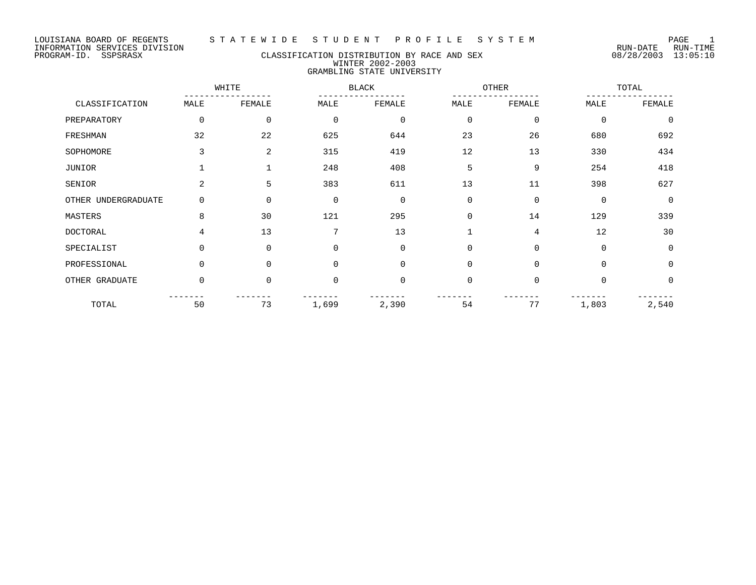### PROGRAM-ID. SSPSRASX CLASSIFICATION DISTRIBUTION BY RACE AND SEX 08/28/2003 13:05:10 WINTER 2002-2003 GRAMBLING STATE UNIVERSITY

|                     | WHITE          |             |             | <b>BLACK</b>   |             | OTHER          |             | TOTAL       |  |
|---------------------|----------------|-------------|-------------|----------------|-------------|----------------|-------------|-------------|--|
| CLASSIFICATION      | MALE           | FEMALE      | MALE        | FEMALE         | MALE        | FEMALE         | MALE        | FEMALE      |  |
| PREPARATORY         | 0              | $\mathbf 0$ | $\mathbf 0$ | $\mathbf 0$    | $\mathbf 0$ | $\mathbf 0$    | $\mathbf 0$ | $\mathbf 0$ |  |
| FRESHMAN            | 32             | 22          | 625         | 644            | 23          | 26             | 680         | 692         |  |
| SOPHOMORE           | 3              | 2           | 315         | 419            | 12          | 13             | 330         | 434         |  |
| JUNIOR              |                |             | 248         | 408            | 5           | 9              | 254         | 418         |  |
| SENIOR              | $\overline{2}$ | 5           | 383         | 611            | 13          | 11             | 398         | 627         |  |
| OTHER UNDERGRADUATE | 0              | $\Omega$    | $\mathbf 0$ | $\mathbf 0$    | $\Omega$    | $\mathbf 0$    | $\mathbf 0$ | $\Omega$    |  |
| MASTERS             | 8              | 30          | 121         | 295            | $\Omega$    | 14             | 129         | 339         |  |
| <b>DOCTORAL</b>     | 4              | 13          | 7           | 13             |             | $\overline{4}$ | 12          | 30          |  |
| SPECIALIST          | 0              | $\Omega$    | $\mathbf 0$ | $\mathbf 0$    | $\mathbf 0$ | $\mathbf 0$    | $\mathbf 0$ | $\mathbf 0$ |  |
| PROFESSIONAL        | 0              | $\Omega$    | $\Omega$    | $\mathbf 0$    | $\Omega$    | $\Omega$       | $\Omega$    | $\Omega$    |  |
| OTHER GRADUATE      | 0              | $\Omega$    | $\mathbf 0$ | $\overline{0}$ | $\Omega$    | $\mathbf 0$    | $\Omega$    | $\Omega$    |  |
| TOTAL               | 50             | 73          | 1,699       | 2,390          | 54          | 77             | 1,803       | 2,540       |  |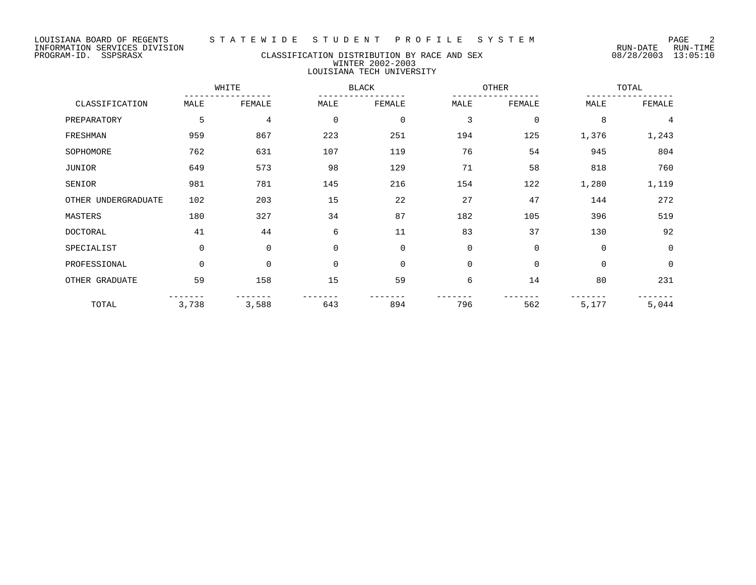### PROGRAM-ID. SSPSRASX CLASSIFICATION DISTRIBUTION BY RACE AND SEX 08/28/2003 13:05:10 WINTER 2002-2003 LOUISIANA TECH UNIVERSITY

|                     |             | WHITE       |             | <b>BLACK</b> |             | <b>OTHER</b> |             | TOTAL    |  |
|---------------------|-------------|-------------|-------------|--------------|-------------|--------------|-------------|----------|--|
| CLASSIFICATION      | MALE        | FEMALE      | MALE        | FEMALE       | MALE        | FEMALE       | MALE        | FEMALE   |  |
| PREPARATORY         | 5           | 4           | $\mathbf 0$ | $\mathbf 0$  | 3           | $\mathbf 0$  | 8           | 4        |  |
| FRESHMAN            | 959         | 867         | 223         | 251          | 194         | 125          | 1,376       | 1,243    |  |
| SOPHOMORE           | 762         | 631         | 107         | 119          | 76          | 54           | 945         | 804      |  |
| JUNIOR              | 649         | 573         | 98          | 129          | 71          | 58           | 818         | 760      |  |
| SENIOR              | 981         | 781         | 145         | 216          | 154         | 122          | 1,280       | 1,119    |  |
| OTHER UNDERGRADUATE | 102         | 203         | 15          | 22           | 27          | 47           | 144         | 272      |  |
| MASTERS             | 180         | 327         | 34          | 87           | 182         | 105          | 396         | 519      |  |
| <b>DOCTORAL</b>     | 41          | 44          | 6           | 11           | 83          | 37           | 130         | 92       |  |
| SPECIALIST          | $\mathbf 0$ | $\mathbf 0$ | $\Omega$    | $\mathbf 0$  | $\mathbf 0$ | $\mathbf 0$  | $\mathbf 0$ | $\Omega$ |  |
| PROFESSIONAL        | $\Omega$    | $\mathbf 0$ | $\Omega$    | $\mathbf 0$  | $\mathbf 0$ | $\mathbf 0$  | $\mathbf 0$ | $\Omega$ |  |
| OTHER GRADUATE      | 59          | 158         | 15          | 59           | 6           | 14           | 80          | 231      |  |
| TOTAL               | 3,738       | 3,588       | 643         | 894          | 796         | 562          | 5,177       | 5,044    |  |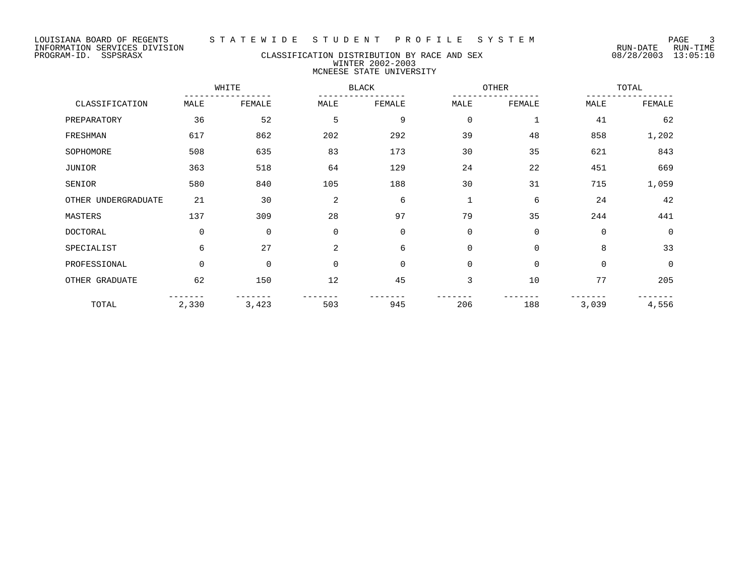LOUISIANA BOARD OF REGENTS S T A T E W I D E S T U D E N T P R O F I L E S Y S T E M PAGE 3 INFORMATION SERVICES DIVISION

#### PROGRAM-ID. SSPSRASX CLASSIFICATION DISTRIBUTION BY RACE AND SEX 08/28/2003 13:05:10 WINTER 2002-2003 MCNEESE STATE UNIVERSITY

WHITE BLACK OTHER TOTAL ----------------- ----------------- ----------------- ----------------- CLASSIFICATION MALE FEMALE MALE FEMALE MALE FEMALE MALE FEMALE PREPARATORY 36 52 5 9 0 1 41 62 FRESHMAN 617 862 202 292 39 48 858 1,202 SOPHOMORE 508 635 83 173 30 35 621 843 JUNIOR 363 518 64 129 24 22 451 669 SENIOR 580 840 105 188 30 31 715 1,059 OTHER UNDERGRADUATE 21 30 2 6 1 6 24 42 MASTERS 137 309 28 97 79 35 244 441 DOCTORAL 0 0 0 0 0 0 0 0 SPECIALIST 6 27 2 6 0 0 8 33 PROFESSIONAL 0 0 0 0 0 0 0 0 OTHER GRADUATE 62 150 12 45 3 10 77 205 ------- ------- ------- ------- ------- ------- ------- ------- TOTAL 2,330 3,423 503 945 206 188 3,039 4,556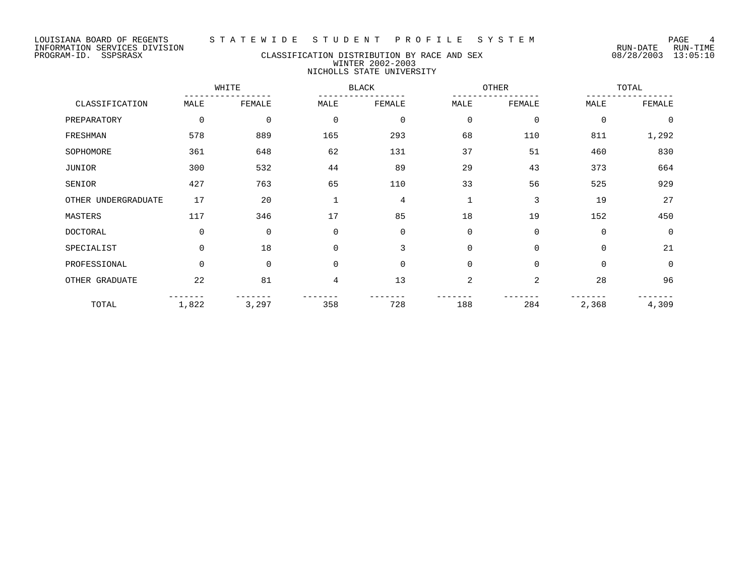### PROGRAM-ID. SSPSRASX CLASSIFICATION DISTRIBUTION BY RACE AND SEX 08/28/2003 13:05:10 WINTER 2002-2003 NICHOLLS STATE UNIVERSITY

|                     |          | WHITE       |                | <b>BLACK</b> |                | OTHER          |       | TOTAL          |  |
|---------------------|----------|-------------|----------------|--------------|----------------|----------------|-------|----------------|--|
| CLASSIFICATION      | MALE     | FEMALE      | MALE           | FEMALE       | MALE           | FEMALE         | MALE  | FEMALE         |  |
| PREPARATORY         | 0        | 0           | 0              | $\mathbf 0$  | 0              | 0              | 0     | $\overline{0}$ |  |
| FRESHMAN            | 578      | 889         | 165            | 293          | 68             | 110            | 811   | 1,292          |  |
| SOPHOMORE           | 361      | 648         | 62             | 131          | 37             | 51             | 460   | 830            |  |
| JUNIOR              | 300      | 532         | 44             | 89           | 29             | 43             | 373   | 664            |  |
| SENIOR              | 427      | 763         | 65             | 110          | 33             | 56             | 525   | 929            |  |
| OTHER UNDERGRADUATE | 17       | 20          | $\mathbf{1}$   | 4            |                | 3              | 19    | 27             |  |
| MASTERS             | 117      | 346         | 17             | 85           | 18             | 19             | 152   | 450            |  |
| <b>DOCTORAL</b>     | 0        | $\mathbf 0$ | $\mathbf 0$    | 0            | $\mathbf 0$    | $\mathbf 0$    | 0     | $\Omega$       |  |
| SPECIALIST          | $\Omega$ | 18          | $\mathbf 0$    | 3            | $\mathbf 0$    | $\mathbf 0$    | 0     | 21             |  |
| PROFESSIONAL        | $\Omega$ | $\mathbf 0$ | $\mathbf 0$    | $\mathbf 0$  | $\overline{0}$ | $\Omega$       | 0     | $\Omega$       |  |
| OTHER GRADUATE      | 22       | 81          | $\overline{4}$ | 13           | $\overline{2}$ | $\overline{a}$ | 28    | 96             |  |
| TOTAL               | 1,822    | 3,297       | 358            | 728          | 188            | 284            | 2,368 | 4,309          |  |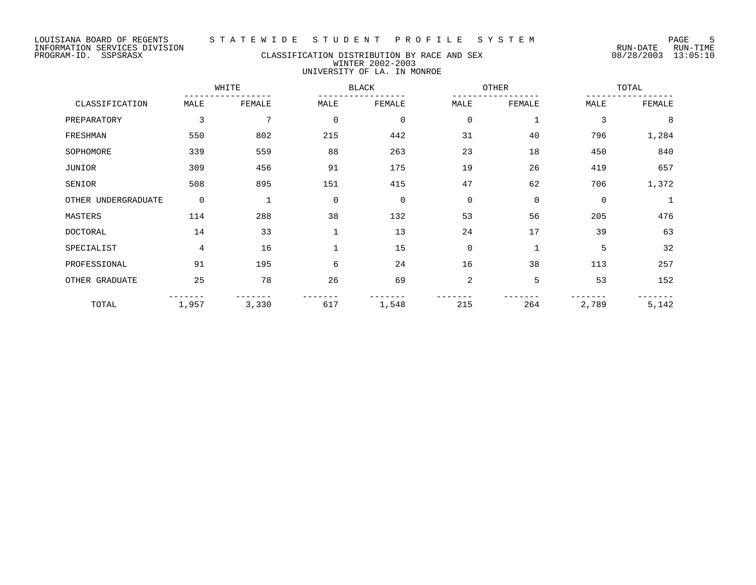PROGRAM-ID. SSPSRASX CLASSIFICATION DISTRIBUTION BY RACE AND SEX 08/28/2003 13:05:10 WINTER 2002-2003 UNIVERSITY OF LA. IN MONROE

|                     |             | WHITE  |              | <b>BLACK</b> |                | OTHER        |             | TOTAL  |  |
|---------------------|-------------|--------|--------------|--------------|----------------|--------------|-------------|--------|--|
| CLASSIFICATION      | MALE        | FEMALE | MALE         | FEMALE       | MALE           | FEMALE       | MALE        | FEMALE |  |
| PREPARATORY         | 3           | 7      | $\mathbf 0$  | $\mathbf 0$  | $\mathbf 0$    | $\mathbf{1}$ | 3           | 8      |  |
| FRESHMAN            | 550         | 802    | 215          | 442          | 31             | 40           | 796         | 1,284  |  |
| SOPHOMORE           | 339         | 559    | 88           | 263          | 23             | 18           | 450         | 840    |  |
| JUNIOR              | 309         | 456    | 91           | 175          | 19             | 26           | 419         | 657    |  |
| SENIOR              | 508         | 895    | 151          | 415          | 47             | 62           | 706         | 1,372  |  |
| OTHER UNDERGRADUATE | $\mathbf 0$ |        | $\mathbf 0$  | $\mathbf 0$  | $\mathbf 0$    | $\mathbf 0$  | $\mathbf 0$ |        |  |
| MASTERS             | 114         | 288    | 38           | 132          | 53             | 56           | 205         | 476    |  |
| <b>DOCTORAL</b>     | 14          | 33     | $\mathbf{1}$ | 13           | 24             | 17           | 39          | 63     |  |
| SPECIALIST          | 4           | 16     | $\mathbf{1}$ | 15           | $\mathbf 0$    | $\mathbf{1}$ | 5           | 32     |  |
| PROFESSIONAL        | 91          | 195    | 6            | 24           | 16             | 38           | 113         | 257    |  |
| OTHER GRADUATE      | 25          | 78     | 26           | 69           | $\overline{2}$ | 5            | 53          | 152    |  |
| TOTAL               | 1,957       | 3,330  | 617          | 1,548        | 215            | 264          | 2,789       | 5,142  |  |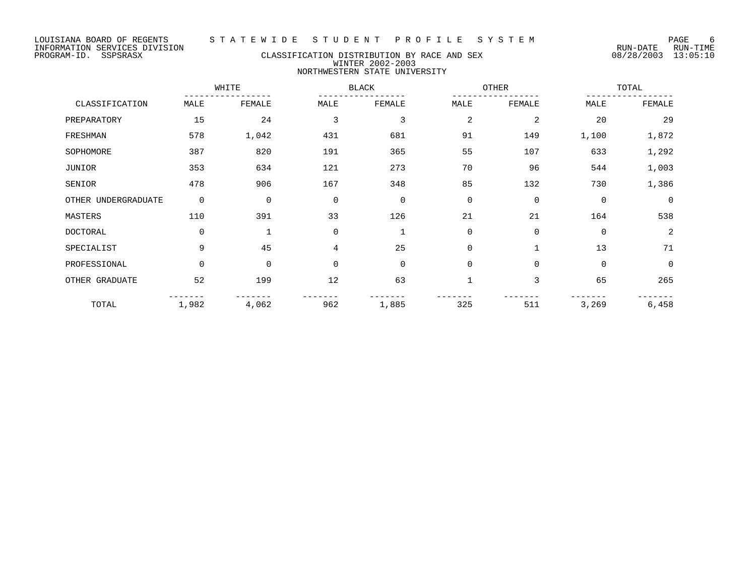### PROGRAM-ID. SSPSRASX CLASSIFICATION DISTRIBUTION BY RACE AND SEX 08/28/2003 13:05:10 WINTER 2002-2003 NORTHWESTERN STATE UNIVERSITY

|                     |          | WHITE       |                | <b>BLACK</b> |             | OTHER        |             | TOTAL          |
|---------------------|----------|-------------|----------------|--------------|-------------|--------------|-------------|----------------|
| CLASSIFICATION      | MALE     | FEMALE      | MALE           | FEMALE       | MALE        | FEMALE       | MALE        | FEMALE         |
| PREPARATORY         | 15       | 24          | 3              | 3            | 2           | 2            | 20          | 29             |
| FRESHMAN            | 578      | 1,042       | 431            | 681          | 91          | 149          | 1,100       | 1,872          |
| SOPHOMORE           | 387      | 820         | 191            | 365          | 55          | 107          | 633         | 1,292          |
| JUNIOR              | 353      | 634         | 121            | 273          | 70          | 96           | 544         | 1,003          |
| SENIOR              | 478      | 906         | 167            | 348          | 85          | 132          | 730         | 1,386          |
| OTHER UNDERGRADUATE | 0        | $\mathbf 0$ | $\mathbf 0$    | $\mathbf 0$  | $\mathbf 0$ | $\mathbf 0$  | $\mathbf 0$ | $\Omega$       |
| MASTERS             | 110      | 391         | 33             | 126          | 21          | 21           | 164         | 538            |
| <b>DOCTORAL</b>     | $\Omega$ |             | $\mathbf 0$    | 1            | $\mathbf 0$ | $\mathbf 0$  | $\Omega$    | $\overline{2}$ |
| SPECIALIST          | 9        | 45          | $\overline{4}$ | 25           | $\Omega$    | $\mathbf{1}$ | 13          | 71             |
| PROFESSIONAL        | $\Omega$ | $\mathbf 0$ | $\mathbf 0$    | $\mathbf 0$  | $\mathbf 0$ | $\mathbf 0$  | 0           | $\overline{0}$ |
| OTHER GRADUATE      | 52       | 199         | 12             | 63           |             | 3            | 65          | 265            |
| TOTAL               | 1,982    | 4,062       | 962            | 1,885        | 325         | 511          | 3,269       | 6,458          |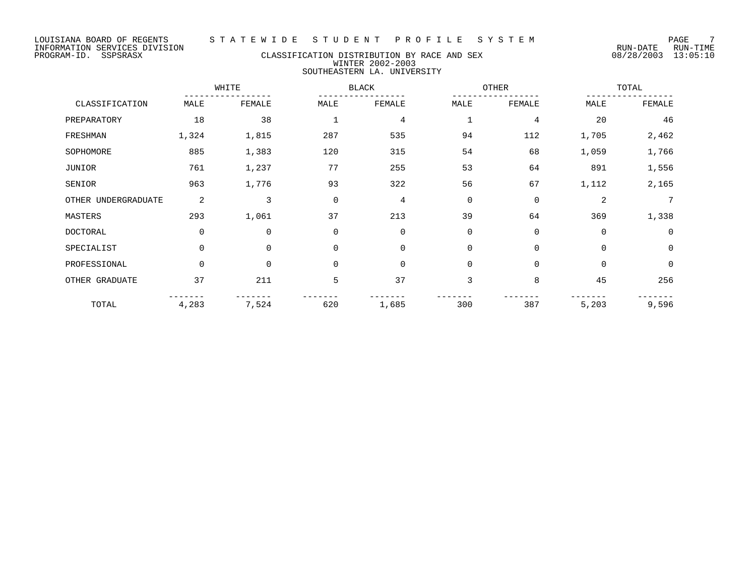### PROGRAM-ID. SSPSRASX CLASSIFICATION DISTRIBUTION BY RACE AND SEX 08/28/2003 13:05:10 WINTER 2002-2003 SOUTHEASTERN LA. UNIVERSITY

|                | WHITE |        | <b>BLACK</b> |        | OTHER       |        | TOTAL |        |
|----------------|-------|--------|--------------|--------|-------------|--------|-------|--------|
| CLASSIFICATION | MALE  | FEMALE | MALE         | FEMALE | <b>MALE</b> | FEMALE | MALE  | FEMALE |
| PREPARATORY    | 18    | 38     |              |        |             |        | 20    | 46     |
| FRESHMAN       | ,324  | ,815   | 287          | 535    | 94          |        | ,705  | 2,462  |

| PREPARAIORI         | ΤQ          | 38       |             | £.       |             |          | ∠∪          | 40          |
|---------------------|-------------|----------|-------------|----------|-------------|----------|-------------|-------------|
| FRESHMAN            | 1,324       | 1,815    | 287         | 535      | 94          | 112      | 1,705       | 2,462       |
| SOPHOMORE           | 885         | 1,383    | 120         | 315      | 54          | 68       | 1,059       | 1,766       |
| JUNIOR              | 761         | 1,237    | 77          | 255      | 53          | 64       | 891         | 1,556       |
| SENIOR              | 963         | 1,776    | 93          | 322      | 56          | 67       | 1,112       | 2,165       |
| OTHER UNDERGRADUATE | 2           | 3        | 0           | 4        | $\mathbf 0$ | 0        | 2           | 7           |
| MASTERS             | 293         | 1,061    | 37          | 213      | 39          | 64       | 369         | 1,338       |
| <b>DOCTORAL</b>     | $\mathbf 0$ | 0        | 0           | $\Omega$ | $\mathbf 0$ | 0        | $\mathbf 0$ | 0           |
| SPECIALIST          | $\Omega$    | 0        | $\mathbf 0$ | $\Omega$ | $\Omega$    | 0        | $\mathbf 0$ | $\mathbf 0$ |
| PROFESSIONAL        | $\Omega$    | $\Omega$ | $\mathbf 0$ | $\Omega$ | $\Omega$    | $\Omega$ | $\Omega$    | 0           |
| OTHER GRADUATE      | 37          | 211      | 5           | 37       | 3           | 8        | 45          | 256         |
| TOTAL               | 4,283       | 7,524    | 620         | 1,685    | 300         | 387      | 5,203       | 9,596       |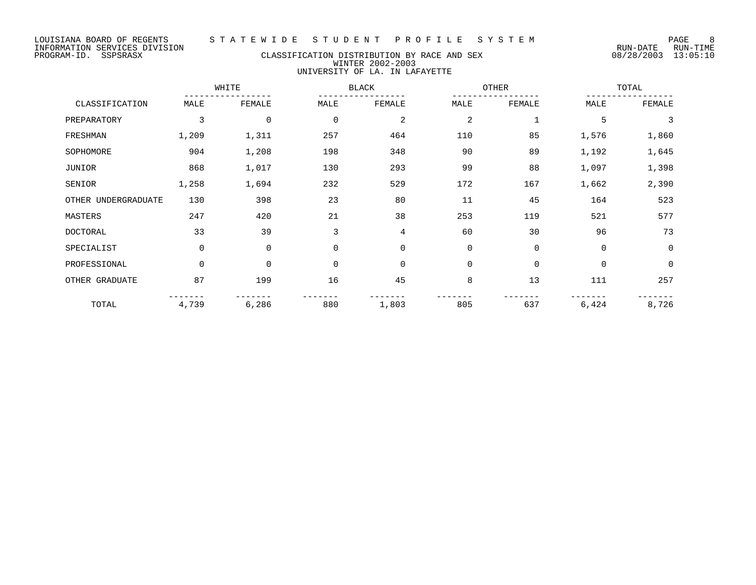### PROGRAM-ID. SSPSRASX CLASSIFICATION DISTRIBUTION BY RACE AND SEX 08/28/2003 13:05:10 WINTER 2002-2003 UNIVERSITY OF LA. IN LAFAYETTE

|                     |             | WHITE       |             | <b>BLACK</b>   | <b>OTHER</b> |              |             | TOTAL       |  |
|---------------------|-------------|-------------|-------------|----------------|--------------|--------------|-------------|-------------|--|
| CLASSIFICATION      | MALE        | FEMALE      | MALE        | FEMALE         | MALE         | FEMALE       | MALE        | FEMALE      |  |
| PREPARATORY         | 3           | $\mathbf 0$ | $\mathbf 0$ | 2              | 2            | $\mathbf{1}$ | 5           | 3           |  |
| FRESHMAN            | 1,209       | 1,311       | 257         | 464            | 110          | 85           | 1,576       | 1,860       |  |
| SOPHOMORE           | 904         | 1,208       | 198         | 348            | 90           | 89           | 1,192       | 1,645       |  |
| JUNIOR              | 868         | 1,017       | 130         | 293            | 99           | 88           | 1,097       | 1,398       |  |
| SENIOR              | 1,258       | 1,694       | 232         | 529            | 172          | 167          | 1,662       | 2,390       |  |
| OTHER UNDERGRADUATE | 130         | 398         | 23          | 80             | 11           | 45           | 164         | 523         |  |
| MASTERS             | 247         | 420         | 21          | 38             | 253          | 119          | 521         | 577         |  |
| <b>DOCTORAL</b>     | 33          | 39          | 3           | 4              | 60           | 30           | 96          | 73          |  |
| SPECIALIST          | $\mathbf 0$ | $\mathbf 0$ | $\Omega$    | $\overline{0}$ | $\mathbf 0$  | $\mathbf 0$  | $\Omega$    | $\mathbf 0$ |  |
| PROFESSIONAL        | $\mathbf 0$ | $\mathbf 0$ | 0           | $\overline{0}$ | $\mathbf 0$  | $\mathbf 0$  | $\mathbf 0$ | $\mathbf 0$ |  |
| OTHER GRADUATE      | 87          | 199         | 16          | 45             | 8            | 13           | 111         | 257         |  |
| TOTAL               | 4,739       | 6,286       | 880         | 1,803          | 805          | 637          | 6,424       | 8,726       |  |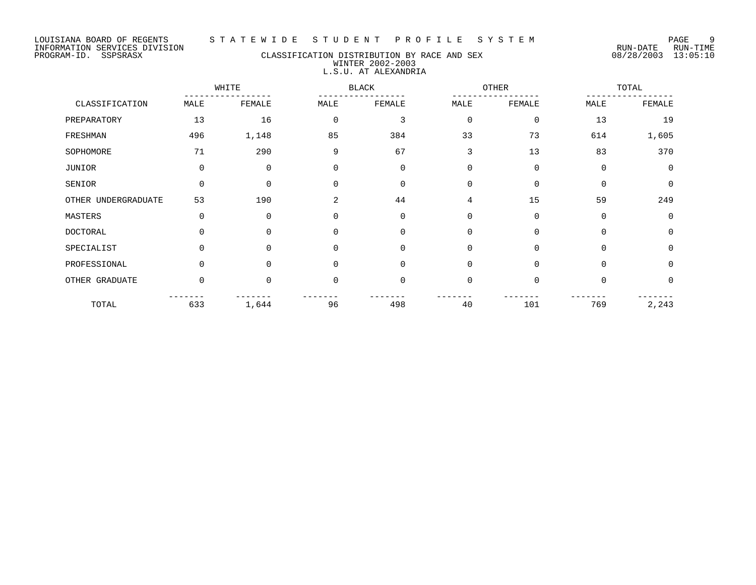LOUISIANA BOARD OF REGENTS S T A T E W I D E S T U D E N T P R O F I L E S Y S T E M PAGE 9

PROGRAM-ID. SSPSRASX CLASSIFICATION DISTRIBUTION BY RACE AND SEX 08/28/2003 13:05:10 WINTER 2002-2003 L.S.U. AT ALEXANDRIA

WHITE BLACK OTHER TOTAL ----------------- ----------------- ----------------- ----------------- CLASSIFICATION MALE FEMALE MALE FEMALE MALE FEMALE MALE FEMALE PREPARATORY 13 16 0 3 0 0 13 19 FRESHMAN 496 1,148 85 384 33 73 614 1,605 SOPHOMORE 290 3 67 3 13 83 370 JUNIOR 0 0 0 0 0 0 0 0 SENIOR 0 0 0 0 0 0 0 0 OTHER UNDERGRADUATE 53 190 2 44 4 15 59 249 MASTERS 0 0 0 0 0 0 0 0 DOCTORAL 0 0 0 0 0 0 0 0 SPECIALIST 0 0 0 0 0 0 0 0 PROFESSIONAL 0 0 0 0 0 0 0 0 0 0 0 0 OTHER GRADUATE 0 0 0 0 0 0 0 0 ------- ------- ------- ------- ------- ------- ------- ------- TOTAL 633 1,644 96 498 40 101 769 2,243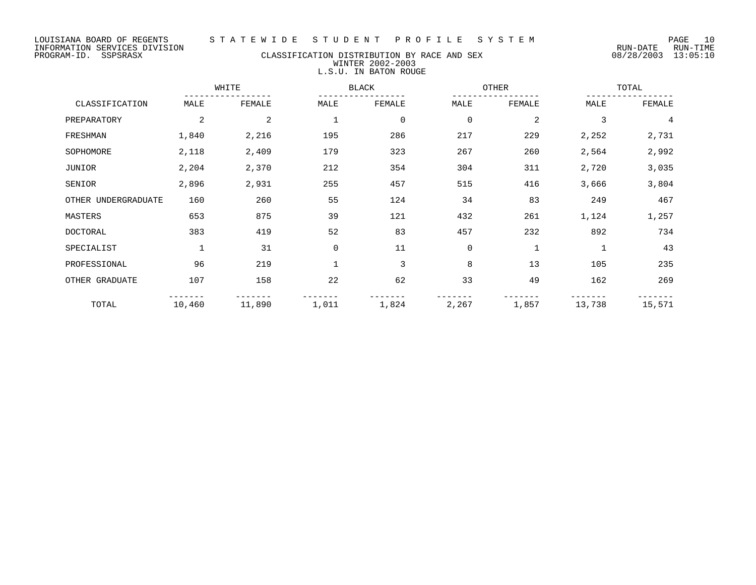### PROGRAM-ID. SSPSRASX CLASSIFICATION DISTRIBUTION BY RACE AND SEX 08/28/2003 13:05:10 WINTER 2002-2003 L.S.U. IN BATON ROUGE

|                     |             | WHITE  |              | <b>BLACK</b> |             |              | OTHER       |        |
|---------------------|-------------|--------|--------------|--------------|-------------|--------------|-------------|--------|
| CLASSIFICATION      | MALE        | FEMALE | MALE         | FEMALE       | MALE        | FEMALE       | MALE        | FEMALE |
| PREPARATORY         | 2           | 2      | $\mathbf 1$  | $\mathbf 0$  | $\mathbf 0$ | 2            | 3           | 4      |
| FRESHMAN            | 1,840       | 2,216  | 195          | 286          | 217         | 229          | 2,252       | 2,731  |
| SOPHOMORE           | 2,118       | 2,409  | 179          | 323          | 267         | 260          | 2,564       | 2,992  |
| JUNIOR              | 2,204       | 2,370  | 212          | 354          | 304         | 311          | 2,720       | 3,035  |
| SENIOR              | 2,896       | 2,931  | 255          | 457          | 515         | 416          | 3,666       | 3,804  |
| OTHER UNDERGRADUATE | 160         | 260    | 55           | 124          | 34          | 83           | 249         | 467    |
| MASTERS             | 653         | 875    | 39           | 121          | 432         | 261          | 1,124       | 1,257  |
| <b>DOCTORAL</b>     | 383         | 419    | 52           | 83           | 457         | 232          | 892         | 734    |
| SPECIALIST          | $\mathbf 1$ | 31     | 0            | 11           | 0           | $\mathbf{1}$ | $\mathbf 1$ | 43     |
| PROFESSIONAL        | 96          | 219    | $\mathbf{1}$ | 3            | 8           | 13           | 105         | 235    |
| OTHER GRADUATE      | 107         | 158    | 22           | 62           | 33          | 49           | 162         | 269    |
| TOTAL               | 10,460      | 11,890 | 1,011        | 1,824        | 2,267       | 1,857        | 13,738      | 15,571 |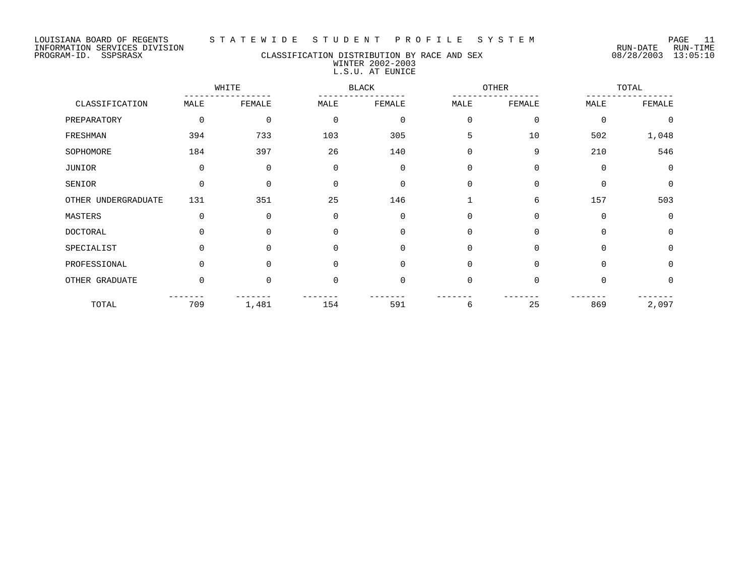#### LOUISIANA BOARD OF REGENTS S T A T E W I D E S T U D E N T P R O F I L E S Y S T E M PAGE 11

### PROGRAM-ID. SSPSRASX CLASSIFICATION DISTRIBUTION BY RACE AND SEX 08/28/2003 13:05:10 WINTER 2002-2003 L.S.U. AT EUNICE

|                     |             | WHITE    |             | <b>BLACK</b> |             | OTHER       |             | TOTAL       |  |
|---------------------|-------------|----------|-------------|--------------|-------------|-------------|-------------|-------------|--|
| CLASSIFICATION      | MALE        | FEMALE   | MALE        | FEMALE       | MALE        | FEMALE      | MALE        | FEMALE      |  |
| PREPARATORY         | $\mathbf 0$ | 0        | $\mathbf 0$ | $\mathbf 0$  | $\mathbf 0$ | $\mathbf 0$ | $\mathbf 0$ | $\Omega$    |  |
| FRESHMAN            | 394         | 733      | 103         | 305          | 5           | 10          | 502         | 1,048       |  |
| SOPHOMORE           | 184         | 397      | 26          | 140          | $\mathbf 0$ | 9           | 210         | 546         |  |
| JUNIOR              | 0           | 0        | $\mathbf 0$ | $\mathbf 0$  | $\Omega$    | $\mathbf 0$ | 0           | $\mathbf 0$ |  |
| SENIOR              | $\Omega$    | $\Omega$ | $\Omega$    | $\Omega$     | $\Omega$    | $\Omega$    | $\Omega$    | $\Omega$    |  |
| OTHER UNDERGRADUATE | 131         | 351      | 25          | 146          |             | 6           | 157         | 503         |  |
| MASTERS             | 0           | 0        | $\mathbf 0$ | $\Omega$     | 0           | $\mathbf 0$ | 0           | $\Omega$    |  |
| <b>DOCTORAL</b>     | $\Omega$    | $\Omega$ | $\Omega$    | $\Omega$     | 0           | $\Omega$    | $\Omega$    | $\Omega$    |  |
| SPECIALIST          | $\Omega$    | $\Omega$ | $\mathbf 0$ | $\Omega$     | $\Omega$    | $\Omega$    | $\Omega$    | $\Omega$    |  |
| PROFESSIONAL        | $\Omega$    | $\Omega$ | $\Omega$    | $\Omega$     | $\Omega$    | $\Omega$    | $\Omega$    | $\Omega$    |  |
| OTHER GRADUATE      | $\mathbf 0$ | $\Omega$ | $\mathbf 0$ | $\Omega$     | $\mathbf 0$ | $\mathbf 0$ | 0           | $\Omega$    |  |
| TOTAL               | 709         | 1,481    | 154         | 591          | 6           | 25          | 869         | 2,097       |  |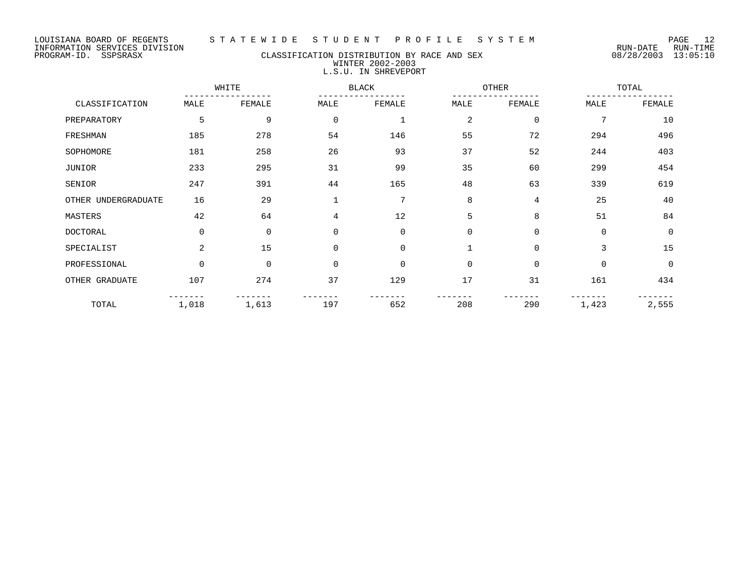### PROGRAM-ID. SSPSRASX CLASSIFICATION DISTRIBUTION BY RACE AND SEX 08/28/2003 13:05:10 WINTER 2002-2003 L.S.U. IN SHREVEPORT

|                     |          | WHITE       |             | <b>BLACK</b> |          | OTHER          |             | TOTAL    |  |
|---------------------|----------|-------------|-------------|--------------|----------|----------------|-------------|----------|--|
| CLASSIFICATION      | MALE     | FEMALE      | MALE        | FEMALE       | MALE     | FEMALE         | MALE        | FEMALE   |  |
| PREPARATORY         | 5        | 9           | $\mathbf 0$ | 1            | 2        | $\mathbf 0$    | 7           | 10       |  |
| FRESHMAN            | 185      | 278         | 54          | 146          | 55       | 72             | 294         | 496      |  |
| SOPHOMORE           | 181      | 258         | 26          | 93           | 37       | 52             | 244         | 403      |  |
| <b>JUNIOR</b>       | 233      | 295         | 31          | 99           | 35       | 60             | 299         | 454      |  |
| SENIOR              | 247      | 391         | 44          | 165          | 48       | 63             | 339         | 619      |  |
| OTHER UNDERGRADUATE | 16       | 29          |             | 7            | 8        | $\overline{4}$ | 25          | 40       |  |
| MASTERS             | 42       | 64          | 4           | 12           | 5        | 8              | 51          | 84       |  |
| <b>DOCTORAL</b>     | $\Omega$ | $\mathbf 0$ | $\mathbf 0$ | $\Omega$     | $\Omega$ | $\Omega$       | $\Omega$    | $\Omega$ |  |
| SPECIALIST          | 2        | 15          | $\mathbf 0$ | $\Omega$     | 1        | $\mathbf 0$    | 3           | 15       |  |
| PROFESSIONAL        | 0        | $\mathbf 0$ | $\mathbf 0$ | $\Omega$     | $\Omega$ | $\mathbf 0$    | $\mathbf 0$ | $\Omega$ |  |
| OTHER GRADUATE      | 107      | 274         | 37          | 129          | 17       | 31             | 161         | 434      |  |
| TOTAL               | 1,018    | 1,613       | 197         | 652          | 208      | 290            | 1,423       | 2,555    |  |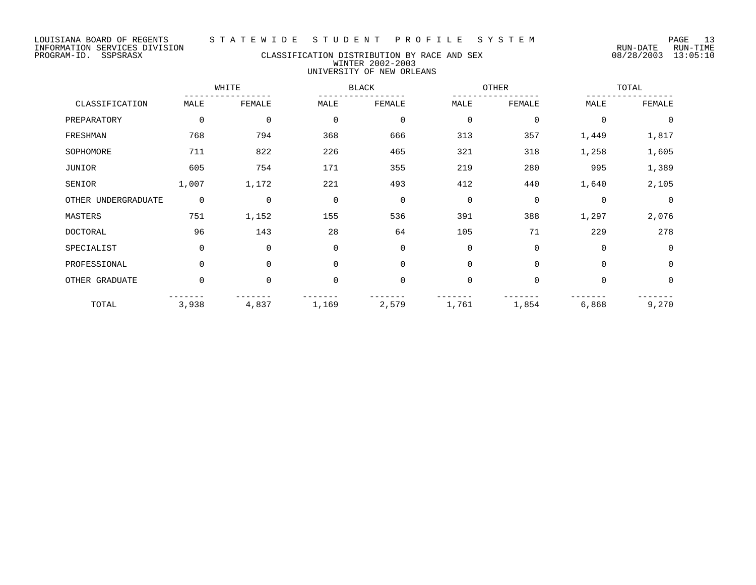PROGRAM-ID. SSPSRASX CLASSIFICATION DISTRIBUTION BY RACE AND SEX 08/28/2003 13:05:10 WINTER 2002-2003 UNIVERSITY OF NEW ORLEANS

|                     |                | WHITE          |             | <b>BLACK</b> |             | OTHER        |             | TOTAL          |
|---------------------|----------------|----------------|-------------|--------------|-------------|--------------|-------------|----------------|
| CLASSIFICATION      | MALE           | FEMALE         | MALE        | FEMALE       | MALE        | FEMALE       | MALE        | FEMALE         |
| PREPARATORY         | $\mathbf 0$    | $\mathbf 0$    | $\mathbf 0$ | 0            | 0           | 0            | $\mathbf 0$ | 0              |
| FRESHMAN            | 768            | 794            | 368         | 666          | 313         | 357          | 1,449       | 1,817          |
| SOPHOMORE           | 711            | 822            | 226         | 465          | 321         | 318          | 1,258       | 1,605          |
| JUNIOR              | 605            | 754            | 171         | 355          | 219         | 280          | 995         | 1,389          |
| SENIOR              | 1,007          | 1,172          | 221         | 493          | 412         | 440          | 1,640       | 2,105          |
| OTHER UNDERGRADUATE | $\overline{0}$ | $\overline{0}$ | $\mathbf 0$ | $\mathbf 0$  | 0           | $\mathbf 0$  | $\mathbf 0$ | $\overline{0}$ |
| MASTERS             | 751            | 1,152          | 155         | 536          | 391         | 388          | 1,297       | 2,076          |
| <b>DOCTORAL</b>     | 96             | 143            | 28          | 64           | 105         | 71           | 229         | 278            |
| SPECIALIST          | $\mathbf 0$    | $\mathbf 0$    | 0           | $\mathbf 0$  | 0           | 0            | $\mathbf 0$ | $\Omega$       |
| PROFESSIONAL        | $\Omega$       | $\Omega$       | $\Omega$    | $\Omega$     | $\mathbf 0$ | $\Omega$     | $\Omega$    | $\Omega$       |
| OTHER GRADUATE      | 0              | $\Omega$       | 0           | $\mathbf 0$  | 0           | $\mathsf{O}$ | $\mathbf 0$ | $\mathbf 0$    |
| TOTAL               | 3,938          | 4,837          | 1,169       | 2,579        | 1,761       | 1,854        | 6,868       | 9,270          |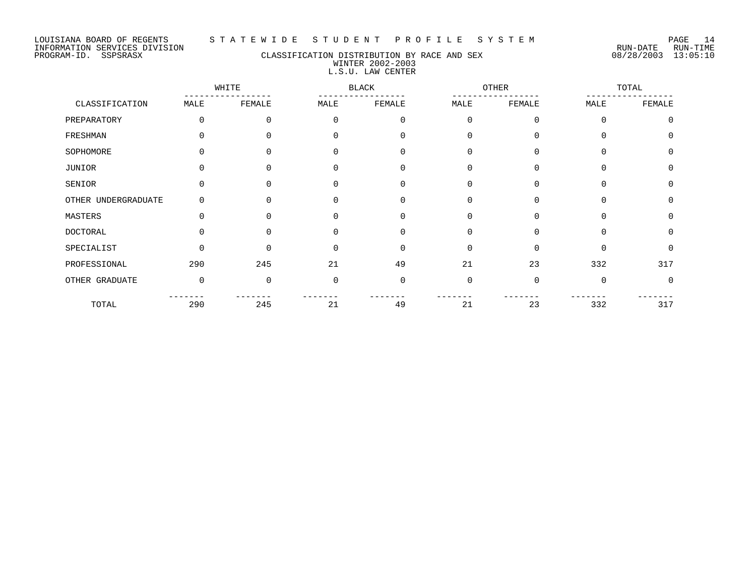#### LOUISIANA BOARD OF REGENTS S T A T E W I D E S T U D E N T P R O F I L E S Y S T E M PAGE 14

### PROGRAM-ID. SSPSRASX CLASSIFICATION DISTRIBUTION BY RACE AND SEX 08/28/2003 13:05:10 WINTER 2002-2003 L.S.U. LAW CENTER

|                     | WHITE    |          | BLACK        |          | OTHER       |          | TOTAL       |             |
|---------------------|----------|----------|--------------|----------|-------------|----------|-------------|-------------|
| CLASSIFICATION      | MALE     | FEMALE   | MALE         | FEMALE   | MALE        | FEMALE   | MALE        | FEMALE      |
| PREPARATORY         | 0        | 0        | $\Omega$     | 0        | $\mathbf 0$ | 0        | $\mathbf 0$ | $\mathbf 0$ |
| FRESHMAN            | U        |          | <sup>0</sup> | 0        | $\Omega$    | $\Omega$ | $\Omega$    | $\Omega$    |
| SOPHOMORE           | U        | $\Omega$ | $\Omega$     | $\Omega$ | $\Omega$    | $\Omega$ | $\Omega$    | $\Omega$    |
| JUNIOR              | $\Omega$ | $\cap$   | $\Omega$     | 0        | 0           | 0        | 0           | 0           |
| SENIOR              |          |          | $\cap$       | $\Omega$ | $\Omega$    | $\Omega$ | $\Omega$    | $\Omega$    |
| OTHER UNDERGRADUATE | $\Omega$ | $\Omega$ | $\Omega$     | $\Omega$ | $\Omega$    | $\Omega$ | $\Omega$    | $\Omega$    |
| MASTERS             | $\Omega$ | $\Omega$ | $\Omega$     | 0        | $\Omega$    | $\Omega$ | $\Omega$    | 0           |
| <b>DOCTORAL</b>     | ∩        | ∩        | $\cap$       | $\Omega$ | $\Omega$    | $\Omega$ | $\Omega$    | $\Omega$    |
| SPECIALIST          | $\Omega$ | $\Omega$ | $\Omega$     | $\Omega$ | $\Omega$    | $\Omega$ | $\Omega$    | $\mathbf 0$ |
| PROFESSIONAL        | 290      | 245      | 21           | 49       | 21          | 23       | 332         | 317         |
| OTHER GRADUATE      | 0        | $\Omega$ | $\Omega$     | 0        | $\Omega$    | 0        | $\mathbf 0$ | $\mathbf 0$ |
| TOTAL               | 290      | 245      | 21           | 49       | 21          | 23       | 332         | 317         |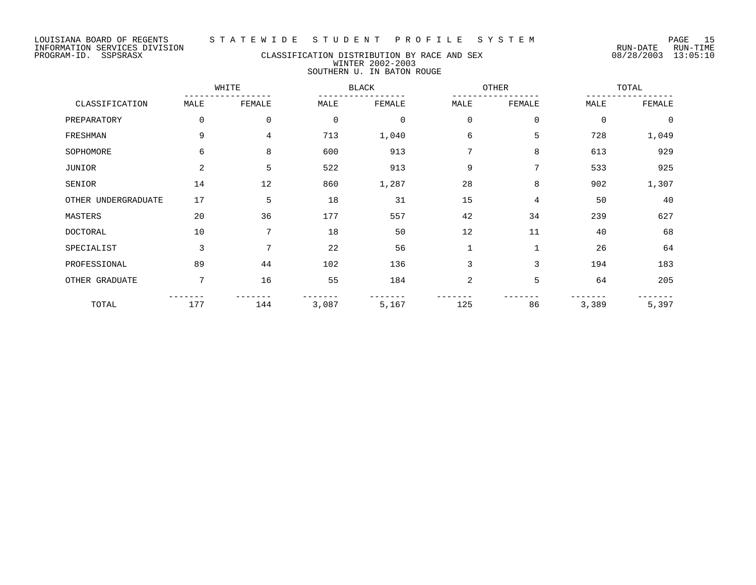LOUISIANA BOARD OF REGENTS STATEWIDE STUDENT PROFILE SYSTEM<br>TNFORMATION SERVICES DIVISION<br>COLORATION SERVICES DIVISION INFORMATION SERVICES DIVISION

#### PROGRAM-ID. SSPSRASX CLASSIFICATION DISTRIBUTION BY RACE AND SEX 08/28/2003 13:05:10 WINTER 2002-2003 SOUTHERN U. IN BATON ROUGE

WHITE BLACK OTHER TOTAL ----------------- ----------------- ----------------- ----------------- CLASSIFICATION MALE FEMALE MALE FEMALE MALE FEMALE MALE FEMALE PREPARATORY 0 0 0 0 0 0 0 0 0 0 0 0 FRESHMAN 9 4 713 1,040 6 5 728 1,049 SOPHOMORE 6 6 8 600 913 7 8 613 929 JUNIOR 2 5 522 913 9 7 533 925 SENIOR 14 12 860 1,287 28 8 902 1,307 OTHER UNDERGRADUATE 17 5 18 31 15 4 50 40 MASTERS 20 36 177 557 42 34 239 627 DOCTORAL 10 7 18 50 12 11 40 68 SPECIALIST 3 7 22 56 1 1 26 64 PROFESSIONAL 89 44 102 136 3 3 194 183 OTHER GRADUATE 7 16 55 184 2 5 64 205 ------- ------- ------- ------- ------- ------- ------- ------- TOTAL 177 144 3,087 5,167 125 86 3,389 5,397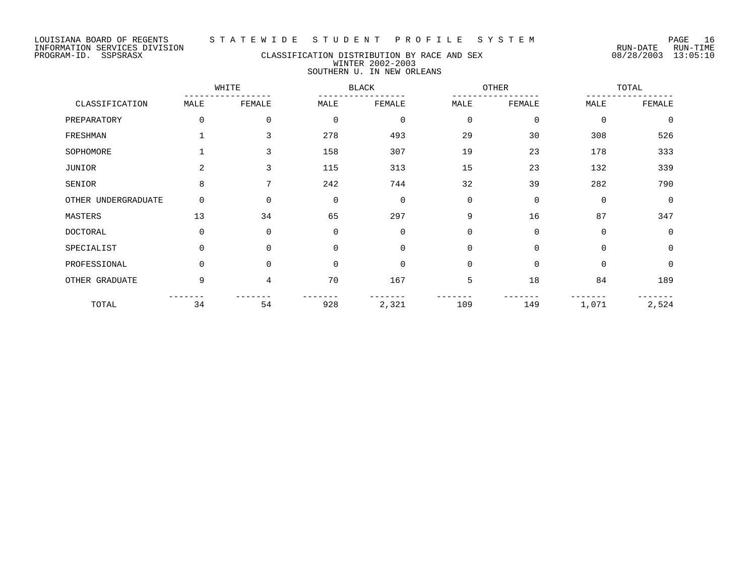### PROGRAM-ID. SSPSRASX CLASSIFICATION DISTRIBUTION BY RACE AND SEX 08/28/2003 13:05:10 WINTER 2002-2003 SOUTHERN U. IN NEW ORLEANS

|                     | WHITE    |          | <b>BLACK</b> |                | OTHER       |             | TOTAL       |             |
|---------------------|----------|----------|--------------|----------------|-------------|-------------|-------------|-------------|
| CLASSIFICATION      | MALE     | FEMALE   | MALE         | FEMALE         | MALE        | FEMALE      | MALE        | FEMALE      |
| PREPARATORY         | 0        | 0        | $\mathbf 0$  | $\mathbf 0$    | $\mathbf 0$ | $\mathbf 0$ | 0           | $\mathbf 0$ |
| FRESHMAN            |          | 3        | 278          | 493            | 29          | 30          | 308         | 526         |
| SOPHOMORE           |          | 3        | 158          | 307            | 19          | 23          | 178         | 333         |
| JUNIOR              | 2        | 3        | 115          | 313            | 15          | 23          | 132         | 339         |
| SENIOR              | 8        | 7        | 242          | 744            | 32          | 39          | 282         | 790         |
| OTHER UNDERGRADUATE | 0        | $\Omega$ | $\mathbf 0$  | $\mathbf 0$    | $\Omega$    | $\Omega$    | $\mathbf 0$ | $\Omega$    |
| MASTERS             | 13       | 34       | 65           | 297            | 9           | 16          | 87          | 347         |
| <b>DOCTORAL</b>     | $\Omega$ | $\Omega$ | $\Omega$     | $\overline{0}$ | $\Omega$    | $\Omega$    | $\Omega$    | $\Omega$    |
| SPECIALIST          | $\Omega$ | $\Omega$ | $\Omega$     | $\Omega$       | $\Omega$    | $\Omega$    | $\Omega$    | $\Omega$    |
| PROFESSIONAL        | 0        | $\Omega$ | $\mathbf 0$  | $\overline{0}$ | $\mathbf 0$ | $\mathbf 0$ | 0           | $\Omega$    |
| OTHER GRADUATE      | 9        | 4        | 70           | 167            | 5           | 18          | 84          | 189         |
| TOTAL               | 34       | 54       | 928          | 2,321          | 109         | 149         | 1,071       | 2,524       |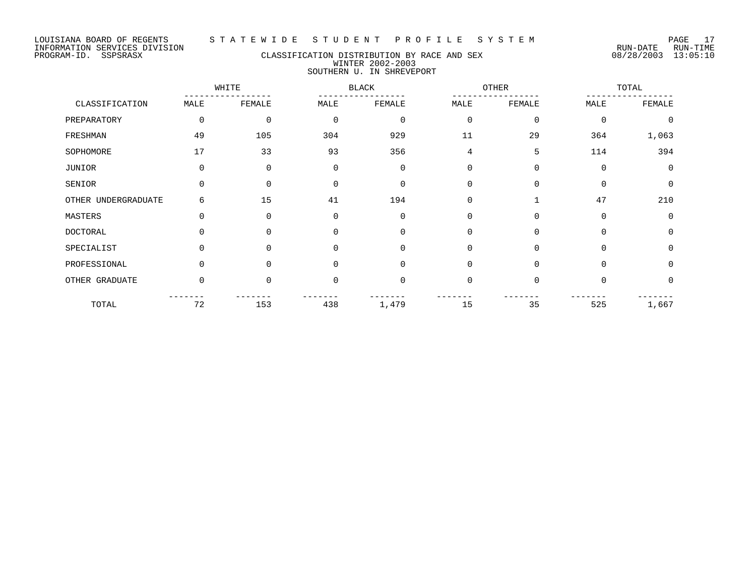#### PROGRAM-ID. SSPSRASX CLASSIFICATION DISTRIBUTION BY RACE AND SEX 08/28/2003 13:05:10 WINTER 2002-2003 SOUTHERN U. IN SHREVEPORT

WHITE BLACK OTHER TOTAL ----------------- ----------------- ----------------- ----------------- CLASSIFICATION MALE FEMALE MALE FEMALE MALE FEMALE MALE FEMALE PREPARATORY 0 0 0 0 0 0 0 0 FRESHMAN 49 105 304 929 11 29 364 1,063 SOPHOMORE 17 33 93 356 4 5 114 394 JUNIOR 0 0 0 0 0 0 0 0 SENIOR 0 0 0 0 0 0 0 0 OTHER UNDERGRADUATE 6 15 41 194 0 1 47 210 MASTERS 0 0 0 0 0 0 0 0 DOCTORAL 0 0 0 0 0 0 0 0 SPECIALIST 0 0 0 0 0 0 0 0 0 0 PROFESSIONAL 0 0 0 0 0 0 0 0 OTHER GRADUATE 0 0 0 0 0 0 0 0 ------- ------- ------- ------- ------- ------- ------- ------- TOTAL 72 153 438 1,479 15 35 525 1,667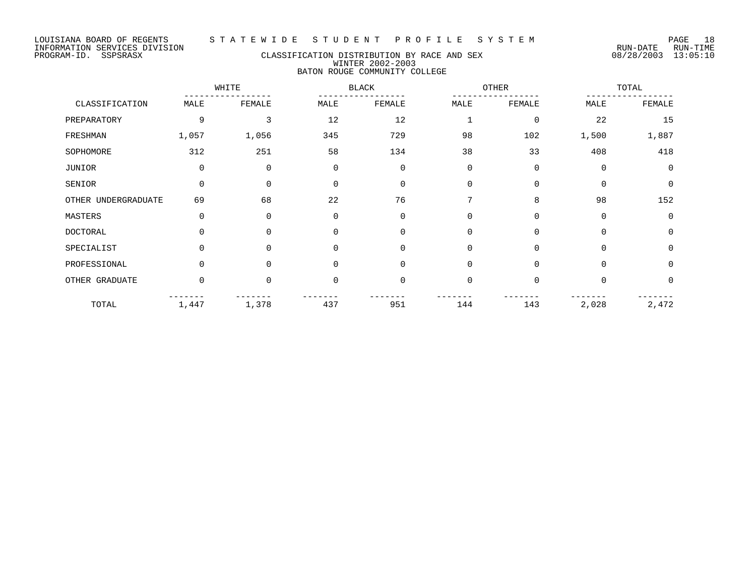### PROGRAM-ID. SSPSRASX CLASSIFICATION DISTRIBUTION BY RACE AND SEX 08/28/2003 13:05:10 WINTER 2002-2003 BATON ROUGE COMMUNITY COLLEGE

|                     | WHITE    |             |             | <b>BLACK</b> |                | OTHER       |             | TOTAL    |  |
|---------------------|----------|-------------|-------------|--------------|----------------|-------------|-------------|----------|--|
| CLASSIFICATION      | MALE     | FEMALE      | MALE        | FEMALE       | MALE           | FEMALE      | MALE        | FEMALE   |  |
| PREPARATORY         | 9        | 3           | 12          | 12           |                | 0           | 22          | 15       |  |
| FRESHMAN            | 1,057    | 1,056       | 345         | 729          | 98             | 102         | 1,500       | 1,887    |  |
| SOPHOMORE           | 312      | 251         | 58          | 134          | 38             | 33          | 408         | 418      |  |
| JUNIOR              | 0        | $\mathbf 0$ | $\mathbf 0$ | $\mathbf 0$  | $\mathbf 0$    | $\mathbf 0$ | $\mathbf 0$ | $\Omega$ |  |
| SENIOR              | $\Omega$ | $\Omega$    | $\Omega$    | $\mathbf 0$  | $\Omega$       | $\Omega$    | $\Omega$    | $\Omega$ |  |
| OTHER UNDERGRADUATE | 69       | 68          | 22          | 76           | 7              | 8           | 98          | 152      |  |
| MASTERS             | $\Omega$ | $\mathbf 0$ | $\mathbf 0$ | $\mathbf 0$  | $\Omega$       | $\Omega$    | $\mathbf 0$ | $\Omega$ |  |
| <b>DOCTORAL</b>     | $\Omega$ | $\Omega$    | $\Omega$    | $\mathbf 0$  | $\overline{0}$ | $\Omega$    | $\Omega$    | $\Omega$ |  |
| SPECIALIST          | $\Omega$ | $\Omega$    | $\mathbf 0$ | $\mathbf 0$  | $\Omega$       | $\Omega$    | $\Omega$    | $\Omega$ |  |
| PROFESSIONAL        | $\Omega$ | $\Omega$    | $\Omega$    | $\Omega$     | $\Omega$       | $\Omega$    | $\Omega$    | $\Omega$ |  |
| OTHER GRADUATE      | $\Omega$ | $\Omega$    | $\Omega$    | $\mathbf 0$  | $\Omega$       | $\Omega$    | $\Omega$    | $\Omega$ |  |
| TOTAL               | 1,447    | 1,378       | 437         | 951          | 144            | 143         | 2,028       | 2,472    |  |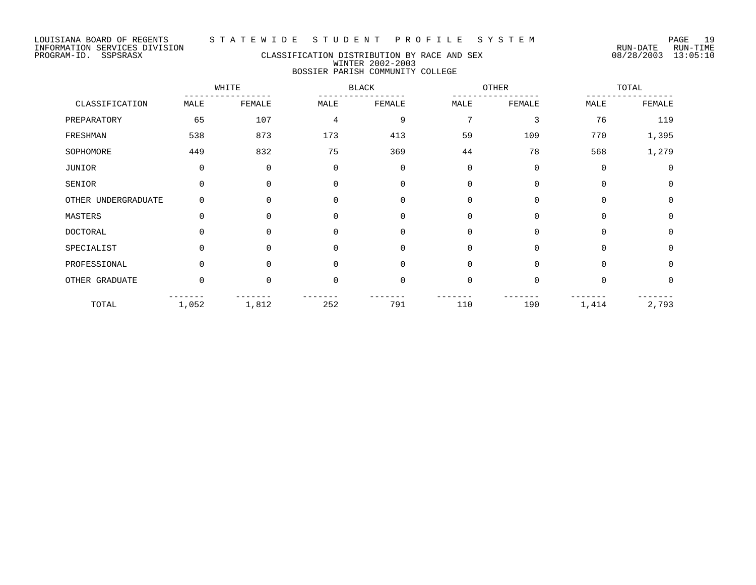### PROGRAM-ID. SSPSRASX CLASSIFICATION DISTRIBUTION BY RACE AND SEX 08/28/2003 13:05:10 WINTER 2002-2003 BOSSIER PARISH COMMUNITY COLLEGE

|                     | WHITE       |                |                | <b>BLACK</b> |             | <b>OTHER</b> |             | TOTAL       |  |
|---------------------|-------------|----------------|----------------|--------------|-------------|--------------|-------------|-------------|--|
| CLASSIFICATION      | MALE        | FEMALE         | MALE           | FEMALE       | MALE        | FEMALE       | MALE        | FEMALE      |  |
| PREPARATORY         | 65          | 107            | $\overline{4}$ | 9            | 7           | 3            | 76          | 119         |  |
| FRESHMAN            | 538         | 873            | 173            | 413          | 59          | 109          | 770         | 1,395       |  |
| SOPHOMORE           | 449         | 832            | 75             | 369          | 44          | 78           | 568         | 1,279       |  |
| JUNIOR              | $\mathbf 0$ | $\overline{0}$ | $\mathbf 0$    | 0            | $\mathbf 0$ | $\mathbf 0$  | $\mathbf 0$ | $\mathbf 0$ |  |
| SENIOR              | $\Omega$    | $\Omega$       |                | 0            | $\Omega$    | $\Omega$     | $\Omega$    | $\Omega$    |  |
| OTHER UNDERGRADUATE | $\Omega$    | $\Omega$       | $\Omega$       | $\Omega$     | $\Omega$    | $\Omega$     | $\Omega$    | $\Omega$    |  |
| MASTERS             | $\Omega$    | $\Omega$       | $\Omega$       | $\Omega$     | $\Omega$    | $\Omega$     | $\Omega$    | $\mathbf 0$ |  |
| <b>DOCTORAL</b>     | $\Omega$    | $\Omega$       | $\Omega$       | U            | $\Omega$    | $\Omega$     | $\Omega$    | $\Omega$    |  |
| SPECIALIST          | $\Omega$    | $\Omega$       | $\Omega$       | $\Omega$     | $\Omega$    | $\Omega$     | $\Omega$    | $\mathbf 0$ |  |
| PROFESSIONAL        | $\Omega$    | <sup>n</sup>   | U              | 0            | $\Omega$    | $\Omega$     | $\Omega$    | 0           |  |
| OTHER GRADUATE      | $\Omega$    | $\Omega$       | $\cap$         | $\Omega$     | $\Omega$    | $\Omega$     | $\Omega$    | $\Omega$    |  |
| TOTAL               | 1,052       | 1,812          | 252            | 791          | 110         | 190          | 1,414       | 2,793       |  |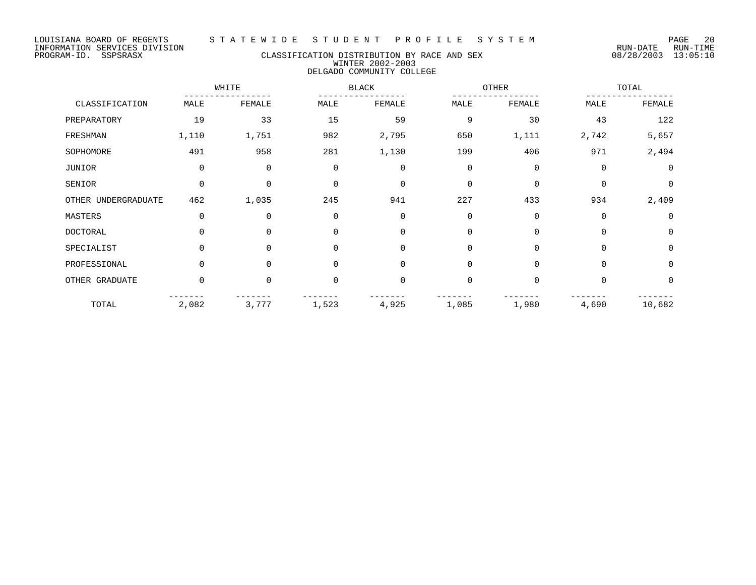### PROGRAM-ID. SSPSRASX CLASSIFICATION DISTRIBUTION BY RACE AND SEX 08/28/2003 13:05:10 WINTER 2002-2003 DELGADO COMMUNITY COLLEGE

|                     | WHITE       |             |              | <b>BLACK</b> |             | OTHER       |             | TOTAL          |  |
|---------------------|-------------|-------------|--------------|--------------|-------------|-------------|-------------|----------------|--|
| CLASSIFICATION      | MALE        | FEMALE      | MALE         | FEMALE       | MALE        | FEMALE      | MALE        | FEMALE         |  |
| PREPARATORY         | 19          | 33          | 15           | 59           | 9           | 30          | 43          | 122            |  |
| FRESHMAN            | 1,110       | 1,751       | 982          | 2,795        | 650         | 1,111       | 2,742       | 5,657          |  |
| SOPHOMORE           | 491         | 958         | 281          | 1,130        | 199         | 406         | 971         | 2,494          |  |
| JUNIOR              | $\mathbf 0$ | 0           | 0            | $\mathbf 0$  | $\mathbf 0$ | $\mathbf 0$ | $\mathbf 0$ | $\overline{0}$ |  |
| SENIOR              | $\Omega$    | $\mathbf 0$ | $\mathbf 0$  | $\Omega$     | $\Omega$    | 0           | $\Omega$    | $\Omega$       |  |
| OTHER UNDERGRADUATE | 462         | 1,035       | 245          | 941          | 227         | 433         | 934         | 2,409          |  |
| MASTERS             | 0           | $\mathbf 0$ | $\mathbf{0}$ | $\Omega$     | $\Omega$    | 0           | $\Omega$    | $\Omega$       |  |
| <b>DOCTORAL</b>     | $\Omega$    | $\Omega$    | $\mathbf 0$  | $\Omega$     | $\Omega$    | $\Omega$    | $\Omega$    | $\Omega$       |  |
| SPECIALIST          | 0           | 0           | $\mathbf 0$  | $\Omega$     | $\Omega$    | 0           | $\Omega$    | $\mathbf 0$    |  |
| PROFESSIONAL        | $\Omega$    | $\Omega$    | $\Omega$     | $\Omega$     | $\Omega$    | $\Omega$    | $\Omega$    | $\Omega$       |  |
| OTHER GRADUATE      | 0           | 0           | $\mathbf 0$  | $\Omega$     | $\mathbf 0$ | 0           | $\Omega$    | $\mathbf 0$    |  |
| TOTAL               | 2,082       | 3,777       | 1,523        | 4,925        | 1,085       | 1,980       | 4,690       | 10,682         |  |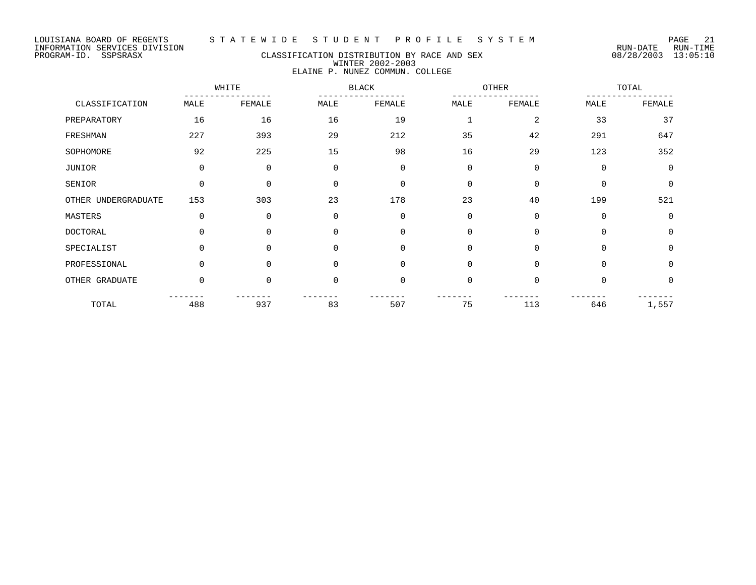#### LOUISIANA BOARD OF REGENTS S T A T E W I D E S T U D E N T P R O F I L E S Y S T E M PAGE 21

### PROGRAM-ID. SSPSRASX CLASSIFICATION DISTRIBUTION BY RACE AND SEX 08/28/2003 13:05:10 WINTER 2002-2003 ELAINE P. NUNEZ COMMUN. COLLEGE

|                     | WHITE    |             | <b>BLACK</b> |             | OTHER          |             | TOTAL       |                |
|---------------------|----------|-------------|--------------|-------------|----------------|-------------|-------------|----------------|
| CLASSIFICATION      | MALE     | FEMALE      | MALE         | FEMALE      | MALE           | FEMALE      | MALE        | FEMALE         |
| PREPARATORY         | 16       | 16          | 16           | 19          | 1              | 2           | 33          | 37             |
| FRESHMAN            | 227      | 393         | 29           | 212         | 35             | 42          | 291         | 647            |
| SOPHOMORE           | 92       | 225         | 15           | 98          | 16             | 29          | 123         | 352            |
| JUNIOR              | 0        | 0           | $\mathbf 0$  | $\mathbf 0$ | $\mathbf 0$    | $\mathbf 0$ | $\mathbf 0$ | $\overline{0}$ |
| SENIOR              | $\Omega$ | $\Omega$    | $\Omega$     | $\mathbf 0$ | $\Omega$       | $\Omega$    | $\Omega$    | $\Omega$       |
| OTHER UNDERGRADUATE | 153      | 303         | 23           | 178         | 23             | 40          | 199         | 521            |
| MASTERS             | $\Omega$ | $\mathbf 0$ | $\Omega$     | $\mathbf 0$ | $\overline{0}$ | $\Omega$    | 0           | $\Omega$       |
| <b>DOCTORAL</b>     | $\Omega$ | $\Omega$    | $\Omega$     | $\mathbf 0$ | $\overline{0}$ | $\Omega$    | $\Omega$    | $\Omega$       |
| SPECIALIST          | $\Omega$ | $\Omega$    | $\mathbf 0$  | $\mathbf 0$ | $\Omega$       | $\Omega$    | $\Omega$    | $\Omega$       |
| PROFESSIONAL        | $\Omega$ | $\Omega$    | $\Omega$     | $\mathbf 0$ | $\Omega$       | $\Omega$    | $\Omega$    | $\Omega$       |
| OTHER GRADUATE      | $\Omega$ | $\Omega$    | $\mathbf 0$  | $\mathbf 0$ | $\mathbf 0$    | $\Omega$    | 0           | $\Omega$       |
| TOTAL               | 488      | 937         | 83           | 507         | 75             | 113         | 646         | 1,557          |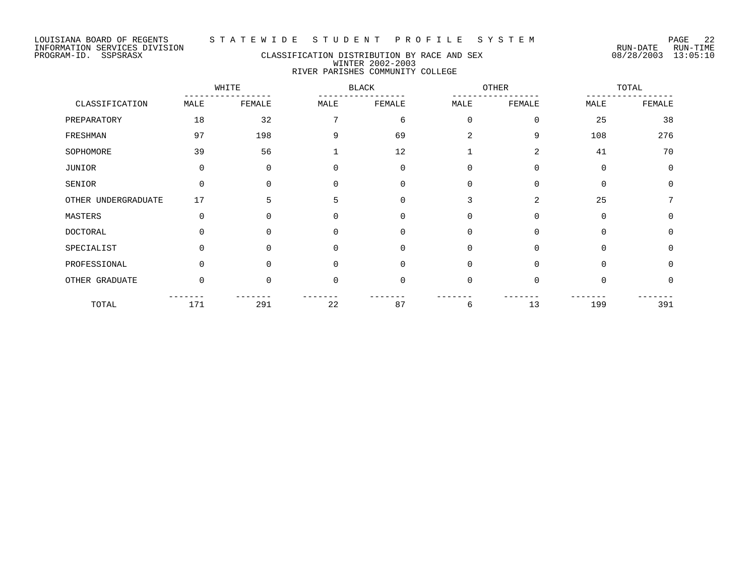### PROGRAM-ID. SSPSRASX CLASSIFICATION DISTRIBUTION BY RACE AND SEX 08/28/2003 13:05:10 WINTER 2002-2003 RIVER PARISHES COMMUNITY COLLEGE

|                     | WHITE        |          | <b>BLACK</b> |          | <b>OTHER</b>   |          | TOTAL       |             |
|---------------------|--------------|----------|--------------|----------|----------------|----------|-------------|-------------|
| CLASSIFICATION      | MALE         | FEMALE   | MALE         | FEMALE   | MALE           | FEMALE   | MALE        | FEMALE      |
| PREPARATORY         | 18           | 32       | 7            | 6        | $\mathbf 0$    | 0        | 25          | 38          |
| FRESHMAN            | 97           | 198      | 9            | 69       | $\overline{a}$ | 9        | 108         | 276         |
| SOPHOMORE           | 39           | 56       | 1            | 12       |                | 2        | 41          | 70          |
| JUNIOR              | 0            | 0        | 0            | 0        | 0              | 0        | $\mathbf 0$ | $\mathbf 0$ |
| SENIOR              | $\Omega$     | 0        | 0            | $\Omega$ | $\Omega$       | 0        | $\Omega$    | $\Omega$    |
| OTHER UNDERGRADUATE | 17           | 5        | 5            | $\Omega$ | 3              | 2        | 25          | 7           |
| MASTERS             | 0            | 0        | 0            | 0        | 0              | 0        | $\mathbf 0$ | $\Omega$    |
| DOCTORAL            | <sup>n</sup> | 0        | U            | $\Omega$ | $\Omega$       | 0        | $\Omega$    | $\Omega$    |
| SPECIALIST          | 0            | $\Omega$ | $\Omega$     | 0        | $\Omega$       | $\Omega$ | $\Omega$    | $\Omega$    |
| PROFESSIONAL        | $\Omega$     | $\Omega$ | 0            | 0        | $\Omega$       | 0        | $\Omega$    | $\Omega$    |
| OTHER GRADUATE      | 0            | 0        | $\Omega$     | $\Omega$ | $\mathbf 0$    | 0        | $\Omega$    | $\Omega$    |
| TOTAL               | 171          | 291      | 22           | 87       | 6              | 13       | 199         | 391         |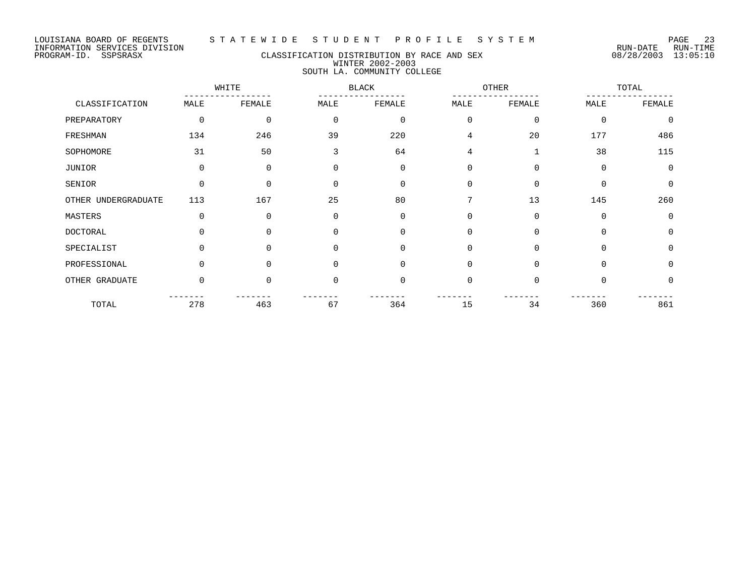### PROGRAM-ID. SSPSRASX CLASSIFICATION DISTRIBUTION BY RACE AND SEX 08/28/2003 13:05:10 WINTER 2002-2003 SOUTH LA. COMMUNITY COLLEGE

|                     | WHITE    |          | <b>BLACK</b> |          | OTHER          |             | TOTAL    |             |
|---------------------|----------|----------|--------------|----------|----------------|-------------|----------|-------------|
| CLASSIFICATION      | MALE     | FEMALE   | MALE         | FEMALE   | MALE           | FEMALE      | MALE     | FEMALE      |
| PREPARATORY         | $\Omega$ | $\Omega$ | $\mathbf 0$  | $\Omega$ | $\Omega$       | $\Omega$    | $\Omega$ | $\Omega$    |
| FRESHMAN            | 134      | 246      | 39           | 220      | $\overline{4}$ | 20          | 177      | 486         |
| SOPHOMORE           | 31       | 50       | 3            | 64       | $\overline{4}$ | $\mathbf 1$ | 38       | 115         |
| JUNIOR              | $\Omega$ | $\Omega$ | $\Omega$     | $\Omega$ | $\Omega$       | $\Omega$    | $\Omega$ | $\Omega$    |
| SENIOR              | $\Omega$ | $\Omega$ | 0            | $\Omega$ | $\Omega$       | $\Omega$    | $\cap$   | $\Omega$    |
| OTHER UNDERGRADUATE | 113      | 167      | 25           | 80       | 7              | 13          | 145      | 260         |
| MASTERS             | $\Omega$ | $\Omega$ | $\mathbf 0$  | $\Omega$ | $\Omega$       | 0           | $\Omega$ | $\mathbf 0$ |
| <b>DOCTORAL</b>     |          | $\Omega$ | 0            | $\Omega$ | $\Omega$       | $\Omega$    | $\Omega$ | $\Omega$    |
| SPECIALIST          | $\Omega$ | $\Omega$ | $\mathbf 0$  | $\Omega$ | $\Omega$       | 0           | $\Omega$ | $\Omega$    |
| PROFESSIONAL        | $\Omega$ | $\Omega$ | 0            | $\Omega$ | $\Omega$       | $\Omega$    | $\Omega$ | $\Omega$    |
| OTHER GRADUATE      | $\Omega$ | $\Omega$ | 0            | $\Omega$ | $\Omega$       | $\Omega$    | $\Omega$ | 0           |
| TOTAL               | 278      | 463      | 67           | 364      | 15             | 34          | 360      | 861         |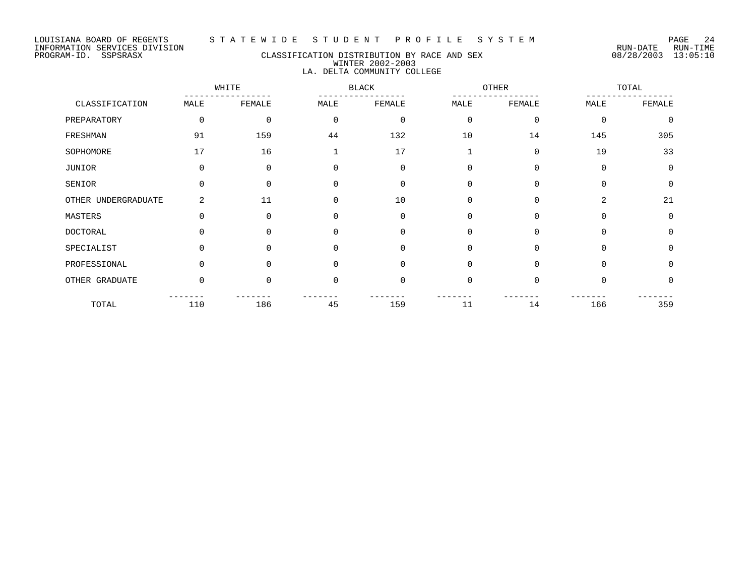### PROGRAM-ID. SSPSRASX CLASSIFICATION DISTRIBUTION BY RACE AND SEX 08/28/2003 13:05:10 WINTER 2002-2003 LA. DELTA COMMUNITY COLLEGE

WHITE BLACK OTHER TOTAL ----------------- ----------------- ----------------- ----------------- CLASSIFICATION MALE FEMALE MALE FEMALE MALE FEMALE MALE FEMALE

| CHUODIT. TOUT TOM   | تتسمين   | r nundur | تتسمين   | т плинт  | تتسمين      | تتسميتها تلاحيا | تتسمين      | т плинт     |
|---------------------|----------|----------|----------|----------|-------------|-----------------|-------------|-------------|
| PREPARATORY         | 0        | 0        | $\Omega$ | $\Omega$ | 0           | $\Omega$        | $\mathbf 0$ | $\mathbf 0$ |
| FRESHMAN            | 91       | 159      | 44       | 132      | 10          | 14              | 145         | 305         |
| SOPHOMORE           | 17       | 16       |          | 17       |             | $\Omega$        | 19          | 33          |
| JUNIOR              | $\Omega$ | 0        | $\Omega$ | ∩        | $\Omega$    | $\Omega$        | $\Omega$    | 0           |
| SENIOR              | 0        | $\Omega$ | $\Omega$ |          | $\Omega$    | $\Omega$        | $\Omega$    | 0           |
| OTHER UNDERGRADUATE | 2        | 11       | $\Omega$ | 10       | $\Omega$    | $\Omega$        | 2           | 21          |
| MASTERS             | $\Omega$ | $\Omega$ | $\cap$   | $\Omega$ | $\Omega$    | $\Omega$        | $\Omega$    | $\mathbf 0$ |
| DOCTORAL            | $\Omega$ | 0        | $\Omega$ | $\Omega$ | $\Omega$    | $\Omega$        | $\Omega$    | 0           |
| SPECIALIST          | $\Omega$ | $\Omega$ | $\Omega$ | $\Omega$ | $\mathbf 0$ | $\Omega$        | $\Omega$    | $\mathbf 0$ |
| PROFESSIONAL        | $\Omega$ | $\Omega$ | $\Omega$ | $\Omega$ | $\Omega$    | $\Omega$        | $\Omega$    | $\mathbf 0$ |
| OTHER GRADUATE      | 0        | 0        | $\Omega$ |          | 0           | $\Omega$        | $\Omega$    | 0           |
| TOTAL               | 110      | 186      | 45       | 159      | 11          | 14              | 166         | 359         |
|                     |          |          |          |          |             |                 |             |             |